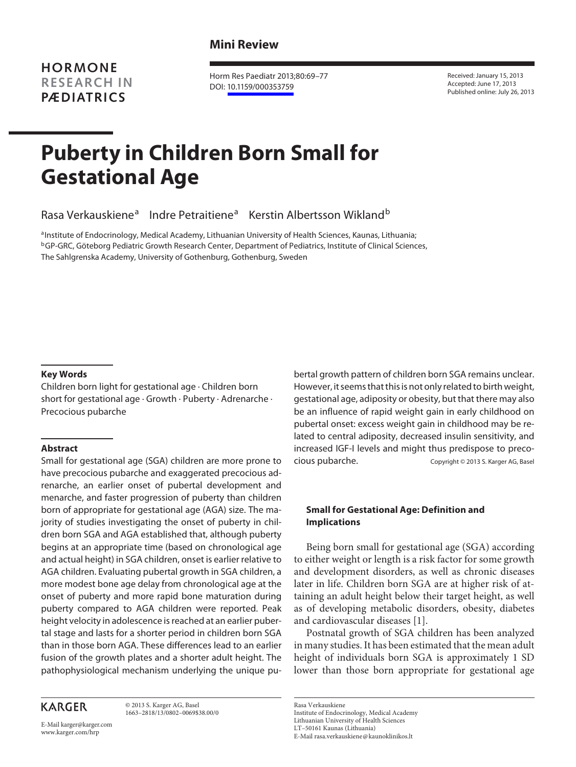**HORMONE RESEARCH IN PÆDIATRICS**

 Horm Res Paediatr 2013;80:69–77 DOI: [10.1159/000353759](http://dx.doi.org/10.1159%2F000353759) 

 Received: January 15, 2013 Accepted: June 17, 2013 Published online: July 26, 2013

# **Puberty in Children Born Small for Gestational Age**

Rasa Verkauskiene<sup>a</sup> Indre Petraitiene<sup>a</sup> Kerstin Albertsson Wikland<sup>b</sup>

a Institute of Endocrinology, Medical Academy, Lithuanian University of Health Sciences, Kaunas, Lithuania; b GP-GRC, Göteborg Pediatric Growth Research Center, Department of Pediatrics, Institute of Clinical Sciences, The Sahlgrenska Academy, University of Gothenburg, Gothenburg, Sweden

### **Key Words**

 Children born light for gestational age · Children born short for gestational age · Growth · Puberty · Adrenarche · Precocious pubarche

### **Abstract**

 Small for gestational age (SGA) children are more prone to have precocious pubarche and exaggerated precocious adrenarche, an earlier onset of pubertal development and menarche, and faster progression of puberty than children born of appropriate for gestational age (AGA) size. The majority of studies investigating the onset of puberty in children born SGA and AGA established that, although puberty begins at an appropriate time (based on chronological age and actual height) in SGA children, onset is earlier relative to AGA children. Evaluating pubertal growth in SGA children, a more modest bone age delay from chronological age at the onset of puberty and more rapid bone maturation during puberty compared to AGA children were reported. Peak height velocity in adolescence is reached at an earlier pubertal stage and lasts for a shorter period in children born SGA than in those born AGA. These differences lead to an earlier fusion of the growth plates and a shorter adult height. The pathophysiological mechanism underlying the unique pu-

# **KARGER**

 © 2013 S. Karger AG, Basel 1663–2818/13/0802–0069\$38.00/0

E-Mail karger@karger.com www.karger.com/hrp

bertal growth pattern of children born SGA remains unclear. However, it seems that this is not only related to birth weight, gestational age, adiposity or obesity, but that there may also be an influence of rapid weight gain in early childhood on pubertal onset: excess weight gain in childhood may be related to central adiposity, decreased insulin sensitivity, and increased IGF-I levels and might thus predispose to precocious pubarche. Copyright © 2013 S. Karger AG, Basel

### **Small for Gestational Age: Definition and Implications**

 Being born small for gestational age (SGA) according to either weight or length is a risk factor for some growth and development disorders, as well as chronic diseases later in life. Children born SGA are at higher risk of attaining an adult height below their target height, as well as of developing metabolic disorders, obesity, diabetes and cardiovascular diseases [1] .

 Postnatal growth of SGA children has been analyzed in many studies. It has been estimated that the mean adult height of individuals born SGA is approximately 1 SD lower than those born appropriate for gestational age

Rasa Verkauskiene Institute of Endocrinology, Medical Academy Lithuanian University of Health Sciences LT–50161 Kaunas (Lithuania) E-Mail rasa.verkauskiene @ kaunoklinikos.lt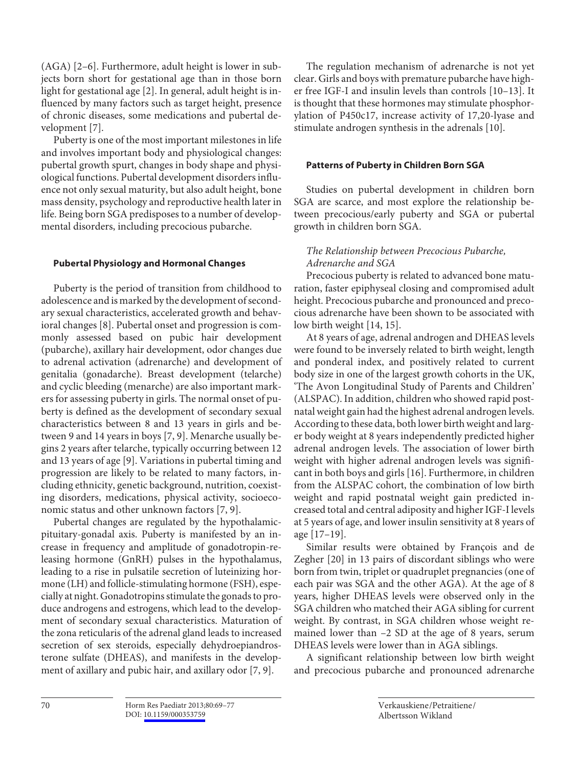(AGA) [2–6] . Furthermore, adult height is lower in subjects born short for gestational age than in those born light for gestational age [2]. In general, adult height is influenced by many factors such as target height, presence of chronic diseases, some medications and pubertal development [7].

 Puberty is one of the most important milestones in life and involves important body and physiological changes: pubertal growth spurt, changes in body shape and physiological functions. Pubertal development disorders influence not only sexual maturity, but also adult height, bone mass density, psychology and reproductive health later in life. Being born SGA predisposes to a number of developmental disorders, including precocious pubarche.

## **Pubertal Physiology and Hormonal Changes**

 Puberty is the period of transition from childhood to adolescence and is marked by the development of secondary sexual characteristics, accelerated growth and behavioral changes [8]. Pubertal onset and progression is commonly assessed based on pubic hair development (pubarche), axillary hair development, odor changes due to adrenal activation (adrenarche) and development of genitalia (gonadarche). Breast development (telarche) and cyclic bleeding (menarche) are also important markers for assessing puberty in girls. The normal onset of puberty is defined as the development of secondary sexual characteristics between 8 and 13 years in girls and between 9 and 14 years in boys [7, 9]. Menarche usually begins 2 years after telarche, typically occurring between 12 and 13 years of age [9]. Variations in pubertal timing and progression are likely to be related to many factors, including ethnicity, genetic background, nutrition, coexisting disorders, medications, physical activity, socioeconomic status and other unknown factors [7, 9].

 Pubertal changes are regulated by the hypothalamicpituitary-gonadal axis. Puberty is manifested by an increase in frequency and amplitude of gonadotropin-releasing hormone (GnRH) pulses in the hypothalamus, leading to a rise in pulsatile secretion of luteinizing hormone (LH) and follicle-stimulating hormone (FSH), especially at night. Gonadotropins stimulate the gonads to produce androgens and estrogens, which lead to the development of secondary sexual characteristics. Maturation of the zona reticularis of the adrenal gland leads to increased secretion of sex steroids, especially dehydroepiandrosterone sulfate (DHEAS), and manifests in the development of axillary and pubic hair, and axillary odor [7, 9] .

 The regulation mechanism of adrenarche is not yet clear. Girls and boys with premature pubarche have higher free IGF-I and insulin levels than controls [10–13] . It is thought that these hormones may stimulate phosphorylation of P450c17, increase activity of 17,20-lyase and stimulate androgen synthesis in the adrenals [10] .

## **Patterns of Puberty in Children Born SGA**

 Studies on pubertal development in children born SGA are scarce, and most explore the relationship between precocious/early puberty and SGA or pubertal growth in children born SGA.

## *The Relationship between Precocious Pubarche, Adrenarche and SGA*

 Precocious puberty is related to advanced bone maturation, faster epiphyseal closing and compromised adult height. Precocious pubarche and pronounced and precocious adrenarche have been shown to be associated with low birth weight [14, 15].

 At 8 years of age, adrenal androgen and DHEAS levels were found to be inversely related to birth weight, length and ponderal index, and positively related to current body size in one of the largest growth cohorts in the UK, 'The Avon Longitudinal Study of Parents and Children' (ALSPAC). In addition, children who showed rapid postnatal weight gain had the highest adrenal androgen levels. According to these data, both lower birth weight and larger body weight at 8 years independently predicted higher adrenal androgen levels. The association of lower birth weight with higher adrenal androgen levels was significant in both boys and girls [16] . Furthermore, in children from the ALSPAC cohort, the combination of low birth weight and rapid postnatal weight gain predicted increased total and central adiposity and higher IGF-I levels at 5 years of age, and lower insulin sensitivity at 8 years of age [17–19] .

 Similar results were obtained by François and de Zegher [20] in 13 pairs of discordant siblings who were born from twin, triplet or quadruplet pregnancies (one of each pair was SGA and the other AGA). At the age of 8 years, higher DHEAS levels were observed only in the SGA children who matched their AGA sibling for current weight. By contrast, in SGA children whose weight remained lower than –2 SD at the age of 8 years, serum DHEAS levels were lower than in AGA siblings.

 A significant relationship between low birth weight and precocious pubarche and pronounced adrenarche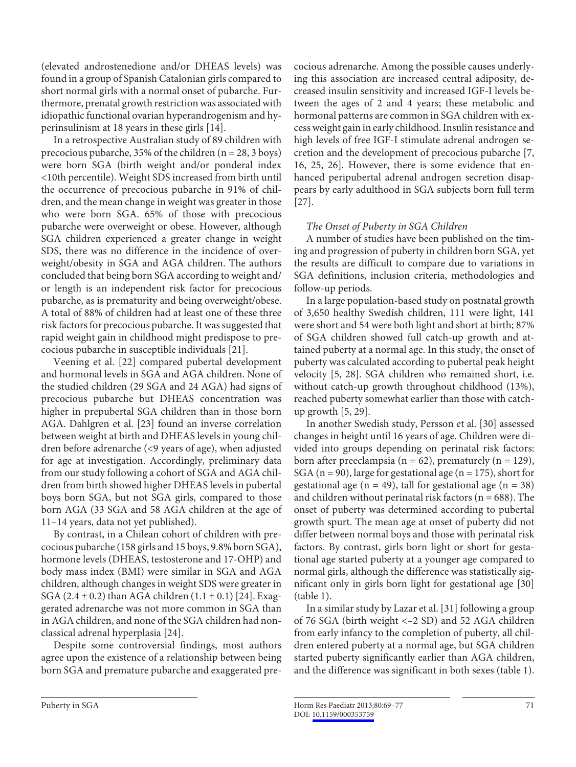(elevated androstenedione and/or DHEAS levels) was found in a group of Spanish Catalonian girls compared to short normal girls with a normal onset of pubarche. Furthermore, prenatal growth restriction was associated with idiopathic functional ovarian hyperandrogenism and hyperinsulinism at 18 years in these girls [14] .

 In a retrospective Australian study of 89 children with precocious pubarche, 35% of the children (n = 28, 3 boys) were born SGA (birth weight and/or ponderal index <10th percentile). Weight SDS increased from birth until the occurrence of precocious pubarche in 91% of children, and the mean change in weight was greater in those who were born SGA. 65% of those with precocious pubarche were overweight or obese. However, although SGA children experienced a greater change in weight SDS, there was no difference in the incidence of overweight/obesity in SGA and AGA children. The authors concluded that being born SGA according to weight and/ or length is an independent risk factor for precocious pubarche, as is prematurity and being overweight/obese. A total of 88% of children had at least one of these three risk factors for precocious pubarche. It was suggested that rapid weight gain in childhood might predispose to precocious pubarche in susceptible individuals [21] .

 Veening et al.[22] compared pubertal development and hormonal levels in SGA and AGA children. None of the studied children (29 SGA and 24 AGA) had signs of precocious pubarche but DHEAS concentration was higher in prepubertal SGA children than in those born AGA. Dahlgren et al. [23] found an inverse correlation between weight at birth and DHEAS levels in young children before adrenarche (<9 years of age), when adjusted for age at investigation. Accordingly, preliminary data from our study following a cohort of SGA and AGA children from birth showed higher DHEAS levels in pubertal boys born SGA, but not SGA girls, compared to those born AGA (33 SGA and 58 AGA children at the age of 11–14 years, data not yet published).

 By contrast, in a Chilean cohort of children with precocious pubarche (158 girls and 15 boys, 9.8% born SGA), hormone levels (DHEAS, testosterone and 17-OHP) and body mass index (BMI) were similar in SGA and AGA children, although changes in weight SDS were greater in SGA (2.4  $\pm$  0.2) than AGA children (1.1  $\pm$  0.1) [24]. Exaggerated adrenarche was not more common in SGA than in AGA children, and none of the SGA children had nonclassical adrenal hyperplasia [24] .

 Despite some controversial findings, most authors agree upon the existence of a relationship between being born SGA and premature pubarche and exaggerated precocious adrenarche. Among the possible causes underlying this association are increased central adiposity, decreased insulin sensitivity and increased IGF-I levels between the ages of 2 and 4 years; these metabolic and hormonal patterns are common in SGA children with excess weight gain in early childhood. Insulin resistance and high levels of free IGF-I stimulate adrenal androgen secretion and the development of precocious pubarche [7, 16, 25, 26]. However, there is some evidence that enhanced peripubertal adrenal androgen secretion disappears by early adulthood in SGA subjects born full term  $[27]$ .

## *The Onset of Puberty in SGA Children*

 A number of studies have been published on the timing and progression of puberty in children born SGA, yet the results are difficult to compare due to variations in SGA definitions, inclusion criteria, methodologies and follow-up periods.

 In a large population-based study on postnatal growth of 3,650 healthy Swedish children, 111 were light, 141 were short and 54 were both light and short at birth; 87% of SGA children showed full catch-up growth and attained puberty at a normal age. In this study, the onset of puberty was calculated according to pubertal peak height velocity [5, 28]. SGA children who remained short, i.e. without catch-up growth throughout childhood (13%), reached puberty somewhat earlier than those with catchup growth  $[5, 29]$ .

 In another Swedish study, Persson et al. [30] assessed changes in height until 16 years of age. Children were divided into groups depending on perinatal risk factors: born after preeclampsia ( $n = 62$ ), prematurely ( $n = 129$ ), SGA ( $n = 90$ ), large for gestational age ( $n = 175$ ), short for gestational age ( $n = 49$ ), tall for gestational age ( $n = 38$ ) and children without perinatal risk factors ( $n = 688$ ). The onset of puberty was determined according to pubertal growth spurt. The mean age at onset of puberty did not differ between normal boys and those with perinatal risk factors. By contrast, girls born light or short for gestational age started puberty at a younger age compared to normal girls, although the difference was statistically significant only in girls born light for gestational age [30]  $(table 1)$ .

 In a similar study by Lazar et al. [31] following a group of 76 SGA (birth weight <–2 SD) and 52 AGA children from early infancy to the completion of puberty, all children entered puberty at a normal age, but SGA children started puberty significantly earlier than AGA children, and the difference was significant in both sexes (table 1).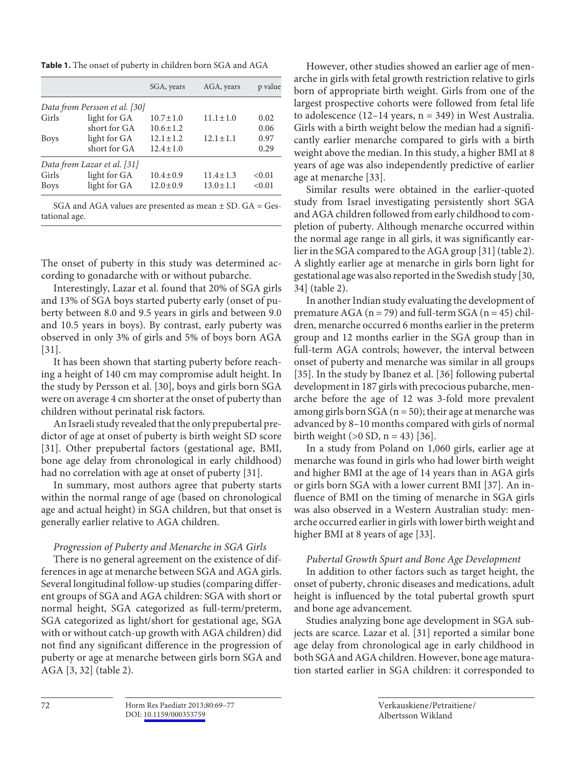**Table 1.** The onset of puberty in children born SGA and AGA

|                             | SGA, years     | AGA, years                    | p value |
|-----------------------------|----------------|-------------------------------|---------|
|                             |                |                               |         |
| light for GA                | $10.7 \pm 1.0$ | $11.1 \pm 1.0$                | 0.02    |
| short for GA                | $10.6 \pm 1.2$ |                               | 0.06    |
| light for GA                | $12.1 \pm 1.2$ | $12.1 \pm 1.1$                | 0.97    |
| short for GA                | $12.4 \pm 1.0$ |                               | 0.29    |
| Data from Lazar et al. [31] |                |                               |         |
| light for GA                | $10.4 \pm 0.9$ | $11.4 \pm 1.3$                | < 0.01  |
| light for GA                | $12.0 \pm 0.9$ | $13.0 \pm 1.1$                | < 0.01  |
|                             |                | Data from Persson et al. [30] |         |

SGA and AGA values are presented as mean  $\pm$  SD. GA = Gestational age.

The onset of puberty in this study was determined according to gonadarche with or without pubarche.

 Interestingly, Lazar et al. found that 20% of SGA girls and 13% of SGA boys started puberty early (onset of puberty between 8.0 and 9.5 years in girls and between 9.0 and 10.5 years in boys). By contrast, early puberty was observed in only 3% of girls and 5% of boys born AGA  $[31]$ .

 It has been shown that starting puberty before reaching a height of 140 cm may compromise adult height. In the study by Persson et al. [30], boys and girls born SGA were on average 4 cm shorter at the onset of puberty than children without perinatal risk factors.

 An Israeli study revealed that the only prepubertal predictor of age at onset of puberty is birth weight SD score [31]. Other prepubertal factors (gestational age, BMI, bone age delay from chronological in early childhood) had no correlation with age at onset of puberty [31].

 In summary, most authors agree that puberty starts within the normal range of age (based on chronological age and actual height) in SGA children, but that onset is generally earlier relative to AGA children.

### *Progression of Puberty and Menarche in SGA Girls*

 There is no general agreement on the existence of differences in age at menarche between SGA and AGA girls. Several longitudinal follow-up studies (comparing different groups of SGA and AGA children: SGA with short or normal height, SGA categorized as full-term/preterm, SGA categorized as light/short for gestational age, SGA with or without catch-up growth with AGA children) did not find any significant difference in the progression of puberty or age at menarche between girls born SGA and AGA [3, 32] (table 2).

 However, other studies showed an earlier age of menarche in girls with fetal growth restriction relative to girls born of appropriate birth weight. Girls from one of the largest prospective cohorts were followed from fetal life to adolescence (12–14 years,  $n = 349$ ) in West Australia. Girls with a birth weight below the median had a significantly earlier menarche compared to girls with a birth weight above the median. In this study, a higher BMI at 8 years of age was also independently predictive of earlier age at menarche [33] .

 Similar results were obtained in the earlier-quoted study from Israel investigating persistently short SGA and AGA children followed from early childhood to completion of puberty. Although menarche occurred within the normal age range in all girls, it was significantly earlier in the SGA compared to the AGA group [31] ( table 2 ). A slightly earlier age at menarche in girls born light for gestational age was also reported in the Swedish study [30, 34] (table 2).

 In another Indian study evaluating the development of premature AGA ( $n = 79$ ) and full-term SGA ( $n = 45$ ) children, menarche occurred 6 months earlier in the preterm group and 12 months earlier in the SGA group than in full-term AGA controls; however, the interval between onset of puberty and menarche was similar in all groups [35]. In the study by Ibanez et al. [36] following pubertal development in 187 girls with precocious pubarche, menarche before the age of 12 was 3-fold more prevalent among girls born SGA ( $n = 50$ ); their age at menarche was advanced by 8–10 months compared with girls of normal birth weight ( $>0$  SD,  $n = 43$ ) [36].

 In a study from Poland on 1,060 girls, earlier age at menarche was found in girls who had lower birth weight and higher BMI at the age of 14 years than in AGA girls or girls born SGA with a lower current BMI [37] . An influence of BMI on the timing of menarche in SGA girls was also observed in a Western Australian study: menarche occurred earlier in girls with lower birth weight and higher BMI at 8 years of age [33].

## *Pubertal Growth Spurt and Bone Age Development*

 In addition to other factors such as target height, the onset of puberty, chronic diseases and medications, adult height is influenced by the total pubertal growth spurt and bone age advancement.

 Studies analyzing bone age development in SGA subjects are scarce. Lazar et al. [31] reported a similar bone age delay from chronological age in early childhood in both SGA and AGA children. However, bone age maturation started earlier in SGA children: it corresponded to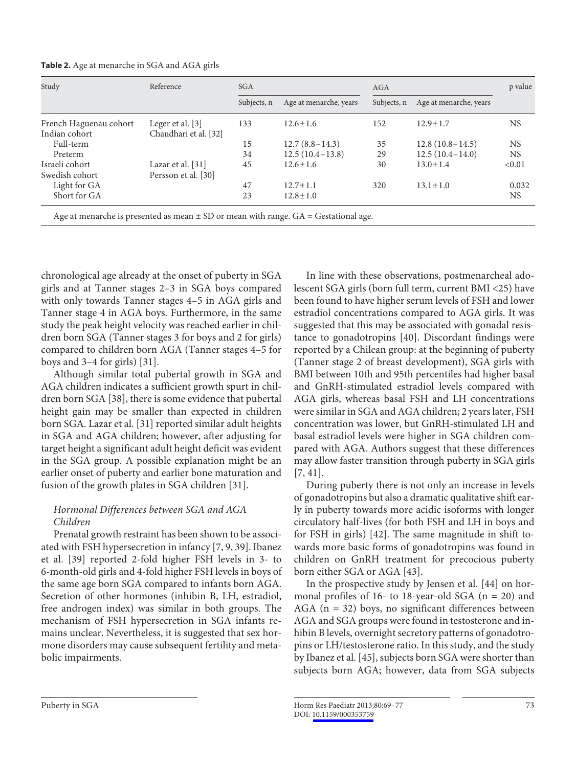**Table 2.** Age at menarche in SGA and AGA girls

| Study                  | Reference             | <b>SGA</b>  |                        | <b>AGA</b>  |                        | p value   |
|------------------------|-----------------------|-------------|------------------------|-------------|------------------------|-----------|
|                        |                       | Subjects, n | Age at menarche, years | Subjects, n | Age at menarche, years |           |
| French Haguenau cohort | Leger et al. [3]      | 133         | $12.6 \pm 1.6$         | 152         | $12.9 \pm 1.7$         | <b>NS</b> |
| Indian cohort          | Chaudhari et al. [32] |             |                        |             |                        |           |
| Full-term              |                       | 15          | $12.7(8.8-14.3)$       | 35          | $12.8(10.8-14.5)$      | <b>NS</b> |
| Preterm                |                       | 34          | $12.5(10.4-13.8)$      | 29          | $12.5(10.4-14.0)$      | <b>NS</b> |
| Israeli cohort         | Lazar et al. [31]     | 45          | $12.6 \pm 1.6$         | 30          | $13.0 \pm 1.4$         | < 0.01    |
| Swedish cohort         | Persson et al. [30]   |             |                        |             |                        |           |
| Light for GA           |                       | 47          | $12.7 \pm 1.1$         | 320         | $13.1 \pm 1.0$         | 0.032     |
| Short for GA           |                       | 23          | $12.8 \pm 1.0$         |             |                        | NS        |

chronological age already at the onset of puberty in SGA girls and at Tanner stages 2–3 in SGA boys compared with only towards Tanner stages 4–5 in AGA girls and Tanner stage 4 in AGA boys. Furthermore, in the same study the peak height velocity was reached earlier in children born SGA (Tanner stages 3 for boys and 2 for girls) compared to children born AGA (Tanner stages 4–5 for boys and 3–4 for girls) [31] .

 Although similar total pubertal growth in SGA and AGA children indicates a sufficient growth spurt in children born SGA [38], there is some evidence that pubertal height gain may be smaller than expected in children born SGA. Lazar et al. [31] reported similar adult heights in SGA and AGA children; however, after adjusting for target height a significant adult height deficit was evident in the SGA group. A possible explanation might be an earlier onset of puberty and earlier bone maturation and fusion of the growth plates in SGA children [31] .

## *Hormonal Differences between SGA and AGA Children*

 Prenatal growth restraint has been shown to be associated with FSH hypersecretion in infancy [7, 9, 39] . Ibanez et al. [39] reported 2-fold higher FSH levels in 3- to 6-month-old girls and 4-fold higher FSH levels in boys of the same age born SGA compared to infants born AGA. Secretion of other hormones (inhibin B, LH, estradiol, free androgen index) was similar in both groups. The mechanism of FSH hypersecretion in SGA infants remains unclear. Nevertheless, it is suggested that sex hormone disorders may cause subsequent fertility and metabolic impairments.

 In line with these observations, postmenarcheal adolescent SGA girls (born full term, current BMI <25) have been found to have higher serum levels of FSH and lower estradiol concentrations compared to AGA girls. It was suggested that this may be associated with gonadal resistance to gonadotropins [40]. Discordant findings were reported by a Chilean group: at the beginning of puberty (Tanner stage 2 of breast development), SGA girls with BMI between 10th and 95th percentiles had higher basal and GnRH-stimulated estradiol levels compared with AGA girls, whereas basal FSH and LH concentrations were similar in SGA and AGA children; 2 years later, FSH concentration was lower, but GnRH-stimulated LH and basal estradiol levels were higher in SGA children compared with AGA. Authors suggest that these differences may allow faster transition through puberty in SGA girls  $[7, 41]$ .

 During puberty there is not only an increase in levels of gonadotropins but also a dramatic qualitative shift early in puberty towards more acidic isoforms with longer circulatory half-lives (for both FSH and LH in boys and for FSH in girls) [42]. The same magnitude in shift towards more basic forms of gonadotropins was found in children on GnRH treatment for precocious puberty born either SGA or AGA [43].

 In the prospective study by Jensen et al. [44] on hormonal profiles of 16- to 18-year-old SGA  $(n = 20)$  and AGA ( $n = 32$ ) boys, no significant differences between AGA and SGA groups were found in testosterone and inhibin B levels, overnight secretory patterns of gonadotropins or LH/testosterone ratio. In this study, and the study by Ibanez et al. [45], subjects born SGA were shorter than subjects born AGA; however, data from SGA subjects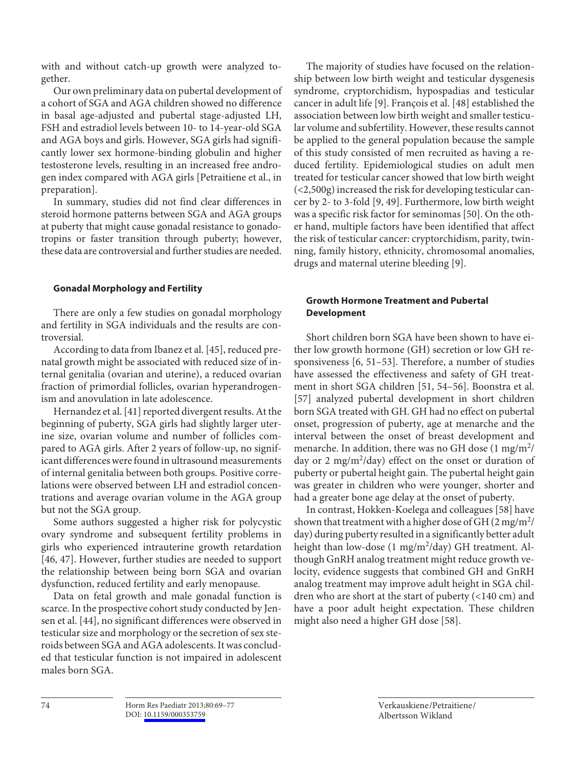with and without catch-up growth were analyzed together.

 Our own preliminary data on pubertal development of a cohort of SGA and AGA children showed no difference in basal age-adjusted and pubertal stage-adjusted LH, FSH and estradiol levels between 10- to 14-year-old SGA and AGA boys and girls. However, SGA girls had significantly lower sex hormone-binding globulin and higher testosterone levels, resulting in an increased free androgen index compared with AGA girls [Petraitiene et al., in preparation].

 In summary, studies did not find clear differences in steroid hormone patterns between SGA and AGA groups at puberty that might cause gonadal resistance to gonadotropins or faster transition through puberty; however, these data are controversial and further studies are needed.

## **Gonadal Morphology and Fertility**

 There are only a few studies on gonadal morphology and fertility in SGA individuals and the results are controversial.

 According to data from Ibanez et al. [45] , reduced prenatal growth might be associated with reduced size of internal genitalia (ovarian and uterine), a reduced ovarian fraction of primordial follicles, ovarian hyperandrogenism and anovulation in late adolescence.

 Hernandez et al. [41] reported divergent results. At the beginning of puberty, SGA girls had slightly larger uterine size, ovarian volume and number of follicles compared to AGA girls. After 2 years of follow-up, no significant differences were found in ultrasound measurements of internal genitalia between both groups. Positive correlations were observed between LH and estradiol concentrations and average ovarian volume in the AGA group but not the SGA group.

 Some authors suggested a higher risk for polycystic ovary syndrome and subsequent fertility problems in girls who experienced intrauterine growth retardation [46, 47]. However, further studies are needed to support the relationship between being born SGA and ovarian dysfunction, reduced fertility and early menopause.

 Data on fetal growth and male gonadal function is scarce. In the prospective cohort study conducted by Jensen et al. [44], no significant differences were observed in testicular size and morphology or the secretion of sex steroids between SGA and AGA adolescents. It was concluded that testicular function is not impaired in adolescent males born SGA.

 The majority of studies have focused on the relationship between low birth weight and testicular dysgenesis syndrome, cryptorchidism, hypospadias and testicular cancer in adult life [9] . François et al. [48] established the association between low birth weight and smaller testicular volume and subfertility. However, these results cannot be applied to the general population because the sample of this study consisted of men recruited as having a reduced fertility. Epidemiological studies on adult men treated for testicular cancer showed that low birth weight (<2,500g) increased the risk for developing testicular cancer by 2- to 3-fold [9, 49] . Furthermore, low birth weight was a specific risk factor for seminomas [50] . On the other hand, multiple factors have been identified that affect the risk of testicular cancer: cryptorchidism, parity, twinning, family history, ethnicity, chromosomal anomalies, drugs and maternal uterine bleeding [9].

## **Growth Hormone Treatment and Pubertal Development**

 Short children born SGA have been shown to have either low growth hormone (GH) secretion or low GH responsiveness [6, 51–53]. Therefore, a number of studies have assessed the effectiveness and safety of GH treatment in short SGA children [51, 54-56]. Boonstra et al. [57] analyzed pubertal development in short children born SGA treated with GH. GH had no effect on pubertal onset, progression of puberty, age at menarche and the interval between the onset of breast development and menarche. In addition, there was no GH dose (1 mg/m<sup>2</sup>/ day or 2 mg/m<sup>2</sup>/day) effect on the onset or duration of puberty or pubertal height gain. The pubertal height gain was greater in children who were younger, shorter and had a greater bone age delay at the onset of puberty.

 In contrast, Hokken-Koelega and colleagues [58] have shown that treatment with a higher dose of GH (2 mg/m<sup>2</sup>/ day) during puberty resulted in a significantly better adult height than low-dose (1 mg/m<sup>2</sup>/day) GH treatment. Although GnRH analog treatment might reduce growth velocity, evidence suggests that combined GH and GnRH analog treatment may improve adult height in SGA children who are short at the start of puberty (<140 cm) and have a poor adult height expectation. These children might also need a higher GH dose [58].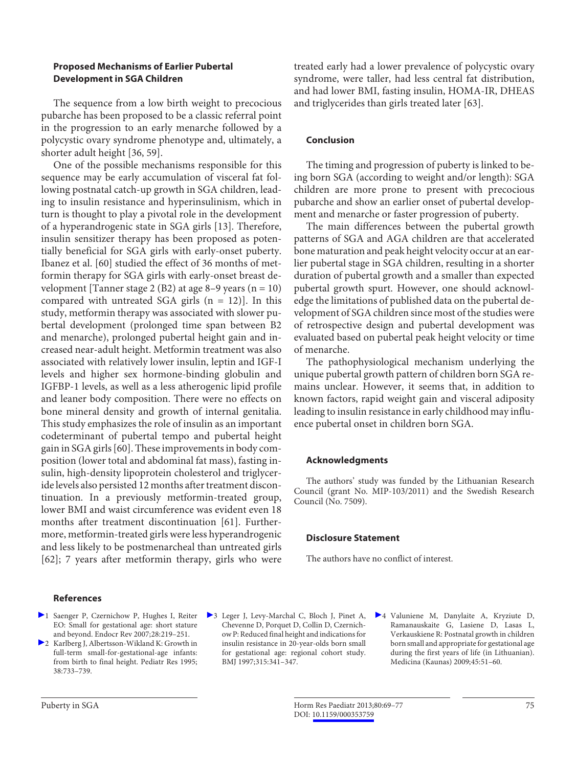## **Proposed Mechanisms of Earlier Pubertal Development in SGA Children**

 The sequence from a low birth weight to precocious pubarche has been proposed to be a classic referral point in the progression to an early menarche followed by a polycystic ovary syndrome phenotype and, ultimately, a shorter adult height [36, 59].

 One of the possible mechanisms responsible for this sequence may be early accumulation of visceral fat following postnatal catch-up growth in SGA children, leading to insulin resistance and hyperinsulinism, which in turn is thought to play a pivotal role in the development of a hyperandrogenic state in SGA girls [13] . Therefore, insulin sensitizer therapy has been proposed as potentially beneficial for SGA girls with early-onset puberty. Ibanez et al. [60] studied the effect of 36 months of metformin therapy for SGA girls with early-onset breast development [Tanner stage  $2$  (B2) at age 8–9 years (n = 10) compared with untreated SGA girls  $(n = 12)$ ]. In this study, metformin therapy was associated with slower pubertal development (prolonged time span between B2 and menarche), prolonged pubertal height gain and increased near-adult height. Metformin treatment was also associated with relatively lower insulin, leptin and IGF-I levels and higher sex hormone-binding globulin and IGFBP-1 levels, as well as a less atherogenic lipid profile and leaner body composition. There were no effects on bone mineral density and growth of internal genitalia. This study emphasizes the role of insulin as an important codeterminant of pubertal tempo and pubertal height gain in SGA girls [60] . These improvements in body composition (lower total and abdominal fat mass), fasting insulin, high-density lipoprotein cholesterol and triglyceride levels also persisted 12 months after treatment discontinuation. In a previously metformin-treated group, lower BMI and waist circumference was evident even 18 months after treatment discontinuation [61]. Furthermore, metformin-treated girls were less hyperandrogenic and less likely to be postmenarcheal than untreated girls [62]; 7 years after metformin therapy, girls who were

treated early had a lower prevalence of polycystic ovary syndrome, were taller, had less central fat distribution, and had lower BMI, fasting insulin, HOMA-IR, DHEAS and triglycerides than girls treated later [63] .

#### **Conclusion**

 The timing and progression of puberty is linked to being born SGA (according to weight and/or length): SGA children are more prone to present with precocious pubarche and show an earlier onset of pubertal development and menarche or faster progression of puberty.

 The main differences between the pubertal growth patterns of SGA and AGA children are that accelerated bone maturation and peak height velocity occur at an earlier pubertal stage in SGA children, resulting in a shorter duration of pubertal growth and a smaller than expected pubertal growth spurt. However, one should acknowledge the limitations of published data on the pubertal development of SGA children since most of the studies were of retrospective design and pubertal development was evaluated based on pubertal peak height velocity or time of menarche.

 The pathophysiological mechanism underlying the unique pubertal growth pattern of children born SGA remains unclear. However, it seems that, in addition to known factors, rapid weight gain and visceral adiposity leading to insulin resistance in early childhood may influence pubertal onset in children born SGA.

#### **Acknowledgments**

 The authors' study was funded by the Lithuanian Research Council (grant No. MIP-103/2011) and the Swedish Research Council (No. 7509).

#### **Disclosure Statement**

The authors have no conflict of interest.

#### **References**

- 1 Saenger P, Czernichow P, Hughes I, Reiter EO: Small for gestational age: short stature and beyond. Endocr Rev 2007;28:219–251.
- 2 Karlberg J, Albertsson-Wikland K: Growth in full-term small-for-gestational-age infants: from birth to final height. Pediatr Res 1995; 38:733–739.
- 3 Leger J, Levy-Marchal C, Bloch J, Pinet A, Chevenne D, Porquet D, Collin D, Czernichow P: Reduced final height and indications for insulin resistance in 20-year-olds born small for gestational age: regional cohort study. BMJ 1997;315:341–347.
- 4 Valuniene M, Danylaite A, Kryziute D, Ramanauskaite G, Lasiene D, Lasas L, Verkauskiene R: Postnatal growth in children born small and appropriate for gestational age during the first years of life (in Lithuanian). Medicina (Kaunas) 2009;45:51–60.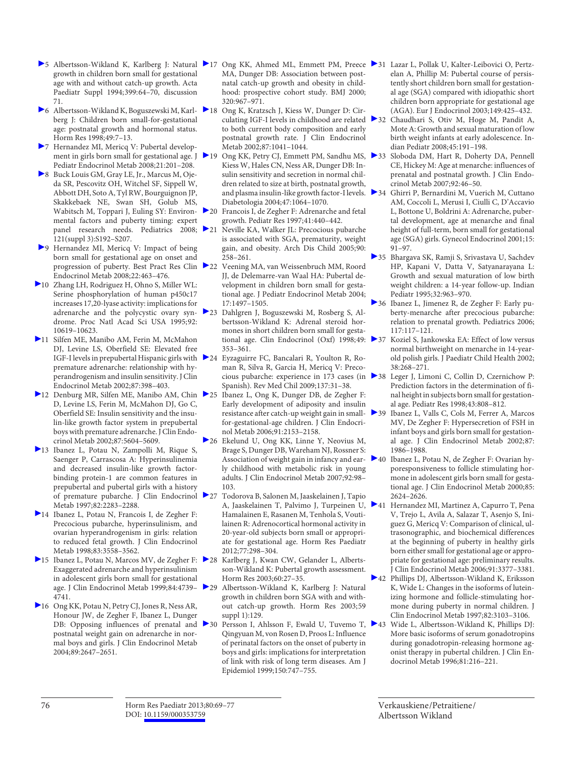- growth in children born small for gestational age with and without catch-up growth. Acta Paediatr Suppl 1994;399:64–70, discussion 71.
- 6 Albertsson-Wikland K, Boguszewski M, Karlberg J: Children born small-for-gestational age: postnatal growth and hormonal status. Horm Res 1998;49:7–13.
- 7 Hernandez MI, Mericq V: Pubertal development in girls born small for gestational age. J Pediatr Endocrinol Metab 2008;21:201–208.
- 8 Buck Louis GM, Gray LE, Jr., Marcus M, Ojeda SR, Pescovitz OH, Witchel SF, Sippell W, Abbott DH, Soto A, Tyl RW, Bourguignon JP, Skakkebaek NE, Swan SH, Golub MS, Wabitsch M, Toppari J, Euling SY: Environmental factors and puberty timing: expert panel research needs. Pediatrics 2008; 121(suppl 3):S192–S207.
- 9 Hernandez MI, Mericq V: Impact of being born small for gestational age on onset and progression of puberty. Best Pract Res Clin Endocrinol Metab 2008;22:463–476.
- 10 Zhang LH, Rodriguez H, Ohno S, Miller WL: Serine phosphorylation of human p450c17 increases 17,20-lyase activity: implications for drome. Proc Natl Acad Sci USA 1995;92: 10619–10623.
- 11 Silfen ME, Manibo AM, Ferin M, McMahon DJ, Levine LS, Oberfield SE: Elevated free IGF-I levels in prepubertal Hispanic girls with  $\geq 24$ premature adrenarche: relationship with hyperandrogenism and insulin sensitivity. J Clin Endocrinol Metab 2002;87:398–403.
- D, Levine LS, Ferin M, McMahon DJ, Go C, Oberfield SE: Insulin sensitivity and the insulin-like growth factor system in prepubertal boys with premature adrenarche. J Clin Endocrinol Metab 2002;87:5604–5609.
- 13 Ibanez L, Potau N, Zampolli M, Rique S, Saenger P, Carrascosa A: Hyperinsulinemia and decreased insulin-like growth factorbinding protein-1 are common features in prepubertal and pubertal girls with a history of premature pubarche. J Clin Endocrinol Metab 1997;82:2283–2288.
- 14 Ibanez L, Potau N, Francois I, de Zegher F: Precocious pubarche, hyperinsulinism, and ovarian hyperandrogenism in girls: relation to reduced fetal growth. J Clin Endocrinol Metab 1998;83:3558–3562.
- 15 Ibanez L, Potau N, Marcos MV, de Zegher F: 28 Exaggerated adrenarche and hyperinsulinism in adolescent girls born small for gestational age. J Clin Endocrinol Metab 1999;84:4739– 4741.
- 16 Ong KK, Potau N, Petry CJ, Jones R, Ness AR, Honour JW, de Zegher F, Ibanez L, Dunger DB: Opposing influences of prenatal and >30 postnatal weight gain on adrenarche in normal boys and girls. J Clin Endocrinol Metab 2004;89:2647–2651.
- 5 Albertsson-Wikland K, Karlberg J: Natural 17 Ong KK, Ahmed ML, Emmett PM, Preece 31 Lazar L, Pollak U, Kalter-Leibovici O, Pertz-MA, Dunger DB: Association between postnatal catch-up growth and obesity in childhood: prospective cohort study. BMJ 2000; 320:967–971.
	- 18 Ong K, Kratzsch J, Kiess W, Dunger D: Circulating IGF-I levels in childhood are related to both current body composition and early postnatal growth rate. J Clin Endocrinol Metab 2002;87:1041–1044.
	- 19 Ong KK, Petry CJ, Emmett PM, Sandhu MS,  $\geq 33$ Kiess W, Hales CN, Ness AR, Dunger DB: Insulin sensitivity and secretion in normal children related to size at birth, postnatal growth, and plasma insulin-like growth factor-I levels. > 34 Diabetologia 2004;47:1064–1070.
	- 20 Francois I, de Zegher F: Adrenarche and fetal growth. Pediatr Res 1997;41:440–442.
	- 21 Neville KA, Walker JL: Precocious pubarche is associated with SGA, prematurity, weight gain, and obesity. Arch Dis Child 2005;90: 258–261.
	- Veening MA, van Weissenbruch MM, Roord JJ, de Delemarre-van Waal HA: Pubertal development in children born small for gestational age. J Pediatr Endocrinol Metab 2004; 17:1497–1505.
	- adrenarche and the polycystic ovary syn- 23 Dahlgren J, Boguszewski M, Rosberg S, Albertsson-Wikland K: Adrenal steroid hormones in short children born small for gestational age. Clin Endocrinol (Oxf) 1998;49:  $\triangleright$ 37 353–361.
		- 24 Eyzaguirre FC, Bancalari R, Youlton R, Roman R, Silva R, Garcia H, Mericq V: Precocious pubarche: experience in 173 cases (in Spanish). Rev Med Chil 2009;137:31–38.
- 12 Denburg MR, Silfen ME, Manibo AM, Chin 25 Ibanez L, Ong K, Dunger DB, de Zegher F: Early development of adiposity and insulin resistance after catch-up weight gain in smallfor-gestational-age children. J Clin Endocrinol Metab 2006;91:2153–2158.
	- 26 Ekelund U, Ong KK, Linne Y, Neovius M, Brage S, Dunger DB, Wareham NJ, Rossner S: Association of weight gain in infancy and ear- $\geq 40$ ly childhood with metabolic risk in young adults. J Clin Endocrinol Metab 2007;92:98– 103.
	- 27 Todorova B, Salonen M, Jaaskelainen J, Tapio A, Jaaskelainen T, Palvimo J, Turpeinen U, Hamalainen E, Rasanen M, Tenhola S, Voutilainen R: Adrenocortical hormonal activity in 20-year-old subjects born small or appropriate for gestational age. Horm Res Paediatr 2012;77:298–304.
	- Karlberg J, Kwan CW, Gelander L, Albertsson-Wikland K: Pubertal growth assessment. Horm Res 2003;60:27–35.
	- 29 Albertsson-Wikland K, Karlberg J: Natural growth in children born SGA with and without catch-up growth. Horm Res 2003; 59 suppl 1):129.
	- Persson I, Ahlsson F, Ewald U, Tuvemo T, 243 Qingyuan M, von Rosen D, Proos L: Influence of perinatal factors on the onset of puberty in boys and girls: implications for interpretation of link with risk of long term diseases. Am J Epidemiol 1999;150:747–755.
- elan A, Phillip M: Pubertal course of persistently short children born small for gestational age (SGA) compared with idiopathic short children born appropriate for gestational age (AGA). Eur J Endocrinol 2003;149:425–432.
- 32 Chaudhari S, Otiv M, Hoge M, Pandit A, Mote A: Growth and sexual maturation of low birth weight infants at early adolescence. Indian Pediatr 2008;45:191–198.
- 33 Sloboda DM, Hart R, Doherty DA, Pennell CE, Hickey M: Age at menarche: influences of prenatal and postnatal growth. J Clin Endocrinol Metab 2007;92:46–50.
- 34 Ghirri P, Bernardini M, Vuerich M, Cuttano AM, Coccoli L, Merusi I, Ciulli C, D'Accavio L, Bottone U, Boldrini A: Adrenarche, pubertal development, age at menarche and final height of full-term, born small for gestational age (SGA) girls. Gynecol Endocrinol 2001;15:  $91 - 97$
- 35 Bhargava SK, Ramji S, Srivastava U, Sachdev HP, Kapani V, Datta V, Satyanarayana L: Growth and sexual maturation of low birth weight children: a 14-year follow-up. Indian Pediatr 1995;32:963–970.
- 36 Ibanez L, Jimenez R, de Zegher F: Early puberty-menarche after precocious pubarche: relation to prenatal growth. Pediatrics 2006; 117:117–121.
	- Koziel S, Jankowska EA: Effect of low versus normal birthweight on menarche in 14-yearold polish girls. J Paediatr Child Health 2002; 38:268–271.
	- Leger J, Limoni C, Collin D, Czernichow P: Prediction factors in the determination of final height in subjects born small for gestational age. Pediatr Res 1998;43:808–812.
	- Ibanez L, Valls C, Cols M, Ferrer A, Marcos MV, De Zegher F: Hypersecretion of FSH in infant boys and girls born small for gestational age. J Clin Endocrinol Metab 2002;87: 1986–1988.
- Ibanez L, Potau N, de Zegher F: Ovarian hyporesponsiveness to follicle stimulating hormone in adolescent girls born small for gestational age. J Clin Endocrinol Metab 2000;85: 2624–2626.
- 41 Hernandez MI, Martinez A, Capurro T, Pena V, Trejo L, Avila A, Salazar T, Asenjo S, Iniguez G, Mericq V: Comparison of clinical, ultrasonographic, and biochemical differences at the beginning of puberty in healthy girls born either small for gestational age or appropriate for gestational age: preliminary results. J Clin Endocrinol Metab 2006;91:3377–3381.
- 42 Phillips DJ, Albertsson-Wikland K, Eriksson K, Wide L: Changes in the isoforms of luteinizing hormone and follicle-stimulating hormone during puberty in normal children. J Clin Endocrinol Metab 1997;82:3103–3106.
- 43 Wide L, Albertsson-Wikland K, Phillips DJ: More basic isoforms of serum gonadotropins during gonadotropin-releasing hormone agonist therapy in pubertal children. J Clin Endocrinol Metab 1996;81:216–221.